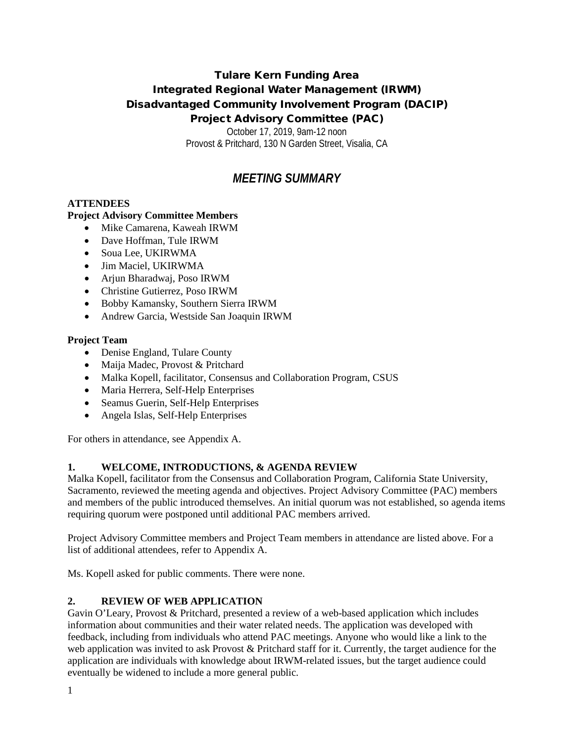# Tulare Kern Funding Area Integrated Regional Water Management (IRWM) Disadvantaged Community Involvement Program (DACIP) Project Advisory Committee (PAC)

October 17, 2019, 9am-12 noon Provost & Pritchard, 130 N Garden Street, Visalia, CA

# *MEETING SUMMARY*

### **ATTENDEES**

## **Project Advisory Committee Members**

- Mike Camarena, Kaweah IRWM
- Dave Hoffman, Tule IRWM
- Soua Lee, UKIRWMA
- Jim Maciel, UKIRWMA
- Arjun Bharadwaj, Poso IRWM
- Christine Gutierrez, Poso IRWM
- Bobby Kamansky, Southern Sierra IRWM
- Andrew Garcia, Westside San Joaquin IRWM

#### **Project Team**

- Denise England, Tulare County
- Maija Madec, Provost & Pritchard
- Malka Kopell, facilitator, Consensus and Collaboration Program, CSUS
- Maria Herrera, Self-Help Enterprises
- Seamus Guerin, Self-Help Enterprises
- Angela Islas, Self-Help Enterprises

For others in attendance, see Appendix A.

#### **1. WELCOME, INTRODUCTIONS, & AGENDA REVIEW**

Malka Kopell, facilitator from the Consensus and Collaboration Program, California State University, Sacramento, reviewed the meeting agenda and objectives. Project Advisory Committee (PAC) members and members of the public introduced themselves. An initial quorum was not established, so agenda items requiring quorum were postponed until additional PAC members arrived.

Project Advisory Committee members and Project Team members in attendance are listed above. For a list of additional attendees, refer to Appendix A.

Ms. Kopell asked for public comments. There were none.

#### **2. REVIEW OF WEB APPLICATION**

Gavin O'Leary, Provost & Pritchard, presented a review of a web-based application which includes information about communities and their water related needs. The application was developed with feedback, including from individuals who attend PAC meetings. Anyone who would like a link to the web application was invited to ask Provost & Pritchard staff for it. Currently, the target audience for the application are individuals with knowledge about IRWM-related issues, but the target audience could eventually be widened to include a more general public.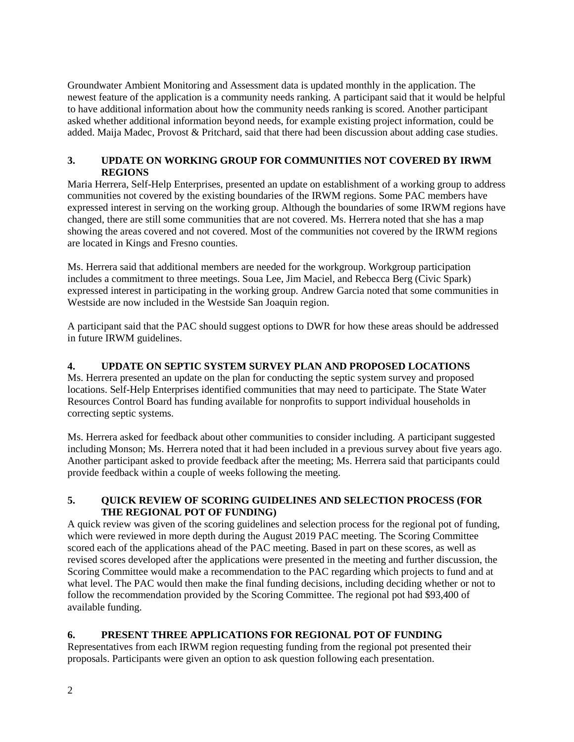Groundwater Ambient Monitoring and Assessment data is updated monthly in the application. The newest feature of the application is a community needs ranking. A participant said that it would be helpful to have additional information about how the community needs ranking is scored. Another participant asked whether additional information beyond needs, for example existing project information, could be added. Maija Madec, Provost & Pritchard, said that there had been discussion about adding case studies.

#### **3. UPDATE ON WORKING GROUP FOR COMMUNITIES NOT COVERED BY IRWM REGIONS**

Maria Herrera, Self-Help Enterprises, presented an update on establishment of a working group to address communities not covered by the existing boundaries of the IRWM regions. Some PAC members have expressed interest in serving on the working group. Although the boundaries of some IRWM regions have changed, there are still some communities that are not covered. Ms. Herrera noted that she has a map showing the areas covered and not covered. Most of the communities not covered by the IRWM regions are located in Kings and Fresno counties.

Ms. Herrera said that additional members are needed for the workgroup. Workgroup participation includes a commitment to three meetings. Soua Lee, Jim Maciel, and Rebecca Berg (Civic Spark) expressed interest in participating in the working group. Andrew Garcia noted that some communities in Westside are now included in the Westside San Joaquin region.

A participant said that the PAC should suggest options to DWR for how these areas should be addressed in future IRWM guidelines.

#### **4. UPDATE ON SEPTIC SYSTEM SURVEY PLAN AND PROPOSED LOCATIONS**

Ms. Herrera presented an update on the plan for conducting the septic system survey and proposed locations. Self-Help Enterprises identified communities that may need to participate. The State Water Resources Control Board has funding available for nonprofits to support individual households in correcting septic systems.

Ms. Herrera asked for feedback about other communities to consider including. A participant suggested including Monson; Ms. Herrera noted that it had been included in a previous survey about five years ago. Another participant asked to provide feedback after the meeting; Ms. Herrera said that participants could provide feedback within a couple of weeks following the meeting.

#### **5. QUICK REVIEW OF SCORING GUIDELINES AND SELECTION PROCESS (FOR THE REGIONAL POT OF FUNDING)**

A quick review was given of the scoring guidelines and selection process for the regional pot of funding, which were reviewed in more depth during the August 2019 PAC meeting. The Scoring Committee scored each of the applications ahead of the PAC meeting. Based in part on these scores, as well as revised scores developed after the applications were presented in the meeting and further discussion, the Scoring Committee would make a recommendation to the PAC regarding which projects to fund and at what level. The PAC would then make the final funding decisions, including deciding whether or not to follow the recommendation provided by the Scoring Committee. The regional pot had \$93,400 of available funding.

#### **6. PRESENT THREE APPLICATIONS FOR REGIONAL POT OF FUNDING**

Representatives from each IRWM region requesting funding from the regional pot presented their proposals. Participants were given an option to ask question following each presentation.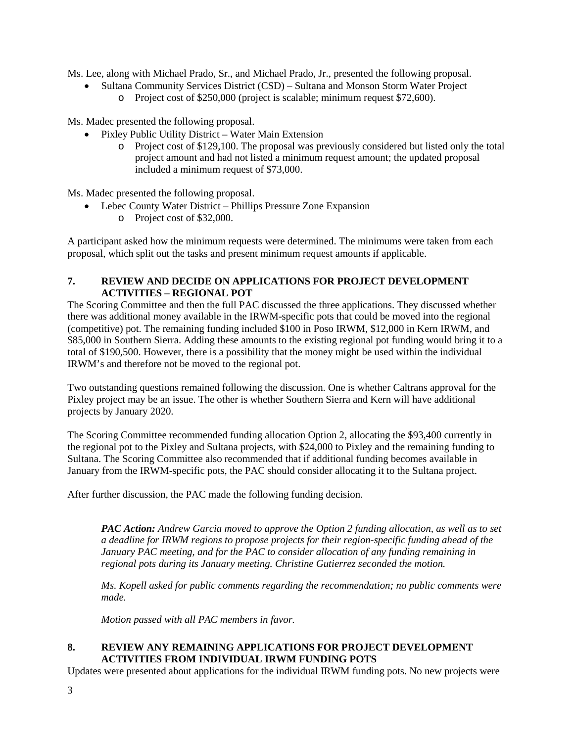Ms. Lee, along with Michael Prado, Sr., and Michael Prado, Jr., presented the following proposal.

- Sultana Community Services District (CSD) Sultana and Monson Storm Water Project
	- o Project cost of \$250,000 (project is scalable; minimum request \$72,600).

Ms. Madec presented the following proposal.

- Pixley Public Utility District Water Main Extension
	- o Project cost of \$129,100. The proposal was previously considered but listed only the total project amount and had not listed a minimum request amount; the updated proposal included a minimum request of \$73,000.

Ms. Madec presented the following proposal.

- Lebec County Water District Phillips Pressure Zone Expansion
	- o Project cost of \$32,000.

A participant asked how the minimum requests were determined. The minimums were taken from each proposal, which split out the tasks and present minimum request amounts if applicable.

#### **7. REVIEW AND DECIDE ON APPLICATIONS FOR PROJECT DEVELOPMENT ACTIVITIES – REGIONAL POT**

The Scoring Committee and then the full PAC discussed the three applications. They discussed whether there was additional money available in the IRWM-specific pots that could be moved into the regional (competitive) pot. The remaining funding included \$100 in Poso IRWM, \$12,000 in Kern IRWM, and \$85,000 in Southern Sierra. Adding these amounts to the existing regional pot funding would bring it to a total of \$190,500. However, there is a possibility that the money might be used within the individual IRWM's and therefore not be moved to the regional pot.

Two outstanding questions remained following the discussion. One is whether Caltrans approval for the Pixley project may be an issue. The other is whether Southern Sierra and Kern will have additional projects by January 2020.

The Scoring Committee recommended funding allocation Option 2, allocating the \$93,400 currently in the regional pot to the Pixley and Sultana projects, with \$24,000 to Pixley and the remaining funding to Sultana. The Scoring Committee also recommended that if additional funding becomes available in January from the IRWM-specific pots, the PAC should consider allocating it to the Sultana project.

After further discussion, the PAC made the following funding decision.

*PAC Action: Andrew Garcia moved to approve the Option 2 funding allocation, as well as to set a deadline for IRWM regions to propose projects for their region-specific funding ahead of the January PAC meeting, and for the PAC to consider allocation of any funding remaining in regional pots during its January meeting. Christine Gutierrez seconded the motion.* 

*Ms. Kopell asked for public comments regarding the recommendation; no public comments were made.* 

*Motion passed with all PAC members in favor.*

## **8. REVIEW ANY REMAINING APPLICATIONS FOR PROJECT DEVELOPMENT ACTIVITIES FROM INDIVIDUAL IRWM FUNDING POTS**

Updates were presented about applications for the individual IRWM funding pots. No new projects were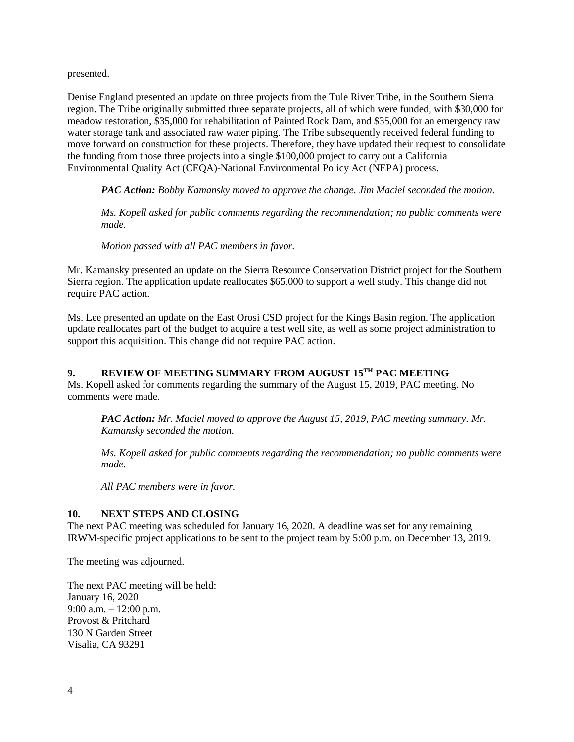presented.

Denise England presented an update on three projects from the Tule River Tribe, in the Southern Sierra region. The Tribe originally submitted three separate projects, all of which were funded, with \$30,000 for meadow restoration, \$35,000 for rehabilitation of Painted Rock Dam, and \$35,000 for an emergency raw water storage tank and associated raw water piping. The Tribe subsequently received federal funding to move forward on construction for these projects. Therefore, they have updated their request to consolidate the funding from those three projects into a single \$100,000 project to carry out a California Environmental Quality Act (CEQA)-National Environmental Policy Act (NEPA) process.

*PAC Action: Bobby Kamansky moved to approve the change. Jim Maciel seconded the motion.* 

*Ms. Kopell asked for public comments regarding the recommendation; no public comments were made.* 

*Motion passed with all PAC members in favor.*

Mr. Kamansky presented an update on the Sierra Resource Conservation District project for the Southern Sierra region. The application update reallocates \$65,000 to support a well study. This change did not require PAC action.

Ms. Lee presented an update on the East Orosi CSD project for the Kings Basin region. The application update reallocates part of the budget to acquire a test well site, as well as some project administration to support this acquisition. This change did not require PAC action.

#### **9. REVIEW OF MEETING SUMMARY FROM AUGUST 15TH PAC MEETING**

Ms. Kopell asked for comments regarding the summary of the August 15, 2019, PAC meeting. No comments were made.

*PAC Action: Mr. Maciel moved to approve the August 15, 2019, PAC meeting summary. Mr. Kamansky seconded the motion.* 

*Ms. Kopell asked for public comments regarding the recommendation; no public comments were made.* 

*All PAC members were in favor.*

#### **10. NEXT STEPS AND CLOSING**

The next PAC meeting was scheduled for January 16, 2020. A deadline was set for any remaining IRWM-specific project applications to be sent to the project team by 5:00 p.m. on December 13, 2019.

The meeting was adjourned.

The next PAC meeting will be held: January 16, 2020 9:00 a.m. – 12:00 p.m. Provost & Pritchard 130 N Garden Street Visalia, CA 93291